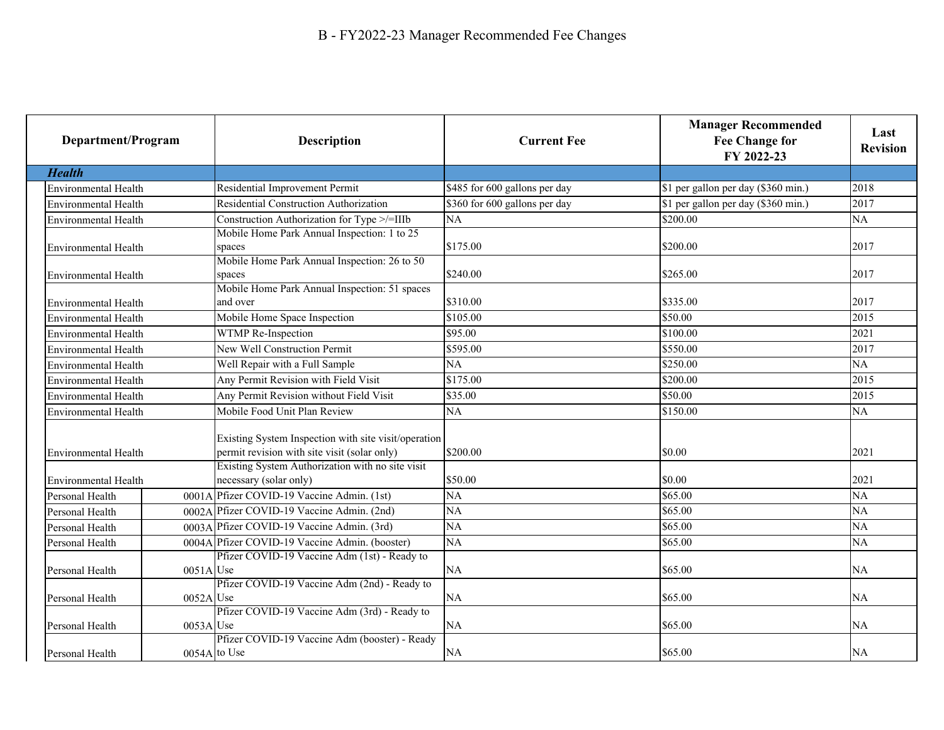| Department/Program          |              | <b>Description</b>                                                                                      | <b>Current Fee</b>            | <b>Manager Recommended</b><br><b>Fee Change for</b><br>FY 2022-23 | Last<br><b>Revision</b> |
|-----------------------------|--------------|---------------------------------------------------------------------------------------------------------|-------------------------------|-------------------------------------------------------------------|-------------------------|
| <b>Health</b>               |              |                                                                                                         |                               |                                                                   |                         |
| <b>Environmental Health</b> |              | Residential Improvement Permit                                                                          | \$485 for 600 gallons per day | \$1 per gallon per day (\$360 min.)                               | 2018                    |
| Environmental Health        |              | Residential Construction Authorization                                                                  | \$360 for 600 gallons per day | \$1 per gallon per day (\$360 min.)                               | 2017                    |
| <b>Environmental Health</b> |              | Construction Authorization for Type >/=IIIb                                                             | NA                            | \$200.00                                                          | NA                      |
| <b>Environmental Health</b> |              | Mobile Home Park Annual Inspection: 1 to 25<br>spaces                                                   | \$175.00                      | \$200.00                                                          | 2017                    |
| <b>Environmental Health</b> |              | Mobile Home Park Annual Inspection: 26 to 50<br>spaces<br>Mobile Home Park Annual Inspection: 51 spaces | \$240.00                      | \$265.00                                                          | 2017                    |
| <b>Environmental Health</b> |              | and over                                                                                                | \$310.00                      | \$335.00                                                          | 2017                    |
| <b>Environmental Health</b> |              | Mobile Home Space Inspection                                                                            | \$105.00                      | \$50.00                                                           | 2015                    |
| <b>Environmental Health</b> |              | WTMP Re-Inspection                                                                                      | \$95.00                       | \$100.00                                                          | 2021                    |
| <b>Environmental Health</b> |              | New Well Construction Permit                                                                            | \$595.00                      | \$550.00                                                          | 2017                    |
| <b>Environmental Health</b> |              | Well Repair with a Full Sample                                                                          | NA                            | \$250.00                                                          | NA                      |
| Environmental Health        |              | Any Permit Revision with Field Visit                                                                    | \$175.00                      | \$200.00                                                          | 2015                    |
| <b>Environmental Health</b> |              | Any Permit Revision without Field Visit                                                                 | \$35.00                       | \$50.00                                                           | 2015                    |
| <b>Environmental Health</b> |              | Mobile Food Unit Plan Review                                                                            | NA                            | \$150.00                                                          | NA                      |
| Environmental Health        |              | Existing System Inspection with site visit/operation<br>permit revision with site visit (solar only)    | \$200.00                      | \$0.00                                                            | 2021                    |
| <b>Environmental Health</b> |              | Existing System Authorization with no site visit<br>necessary (solar only)                              | \$50.00                       | \$0.00                                                            | 2021                    |
| Personal Health             |              | 0001A Pfizer COVID-19 Vaccine Admin. (1st)                                                              | NA                            | \$65.00                                                           | NA                      |
| Personal Health             |              | 0002A Pfizer COVID-19 Vaccine Admin. (2nd)                                                              | NA                            | \$65.00                                                           | NA                      |
| Personal Health             |              | 0003A Pfizer COVID-19 Vaccine Admin. (3rd)                                                              | NA                            | \$65.00                                                           | <b>NA</b>               |
| Personal Health             |              | 0004A Pfizer COVID-19 Vaccine Admin. (booster)                                                          | $\overline{NA}$               | \$65.00                                                           | NA                      |
| Personal Health             | $0051A$ Use  | Pfizer COVID-19 Vaccine Adm (1st) - Ready to                                                            | NA                            | \$65.00                                                           | NA                      |
| Personal Health             | $0052A$ Use  | Pfizer COVID-19 Vaccine Adm (2nd) - Ready to                                                            | NA                            | \$65.00                                                           | <b>NA</b>               |
| Personal Health             | 0053A Use    | Pfizer COVID-19 Vaccine Adm (3rd) - Ready to                                                            | NA                            | \$65.00                                                           | <b>NA</b>               |
| Personal Health             | 0054A to Use | Pfizer COVID-19 Vaccine Adm (booster) - Ready                                                           | NA                            | \$65.00                                                           | NA                      |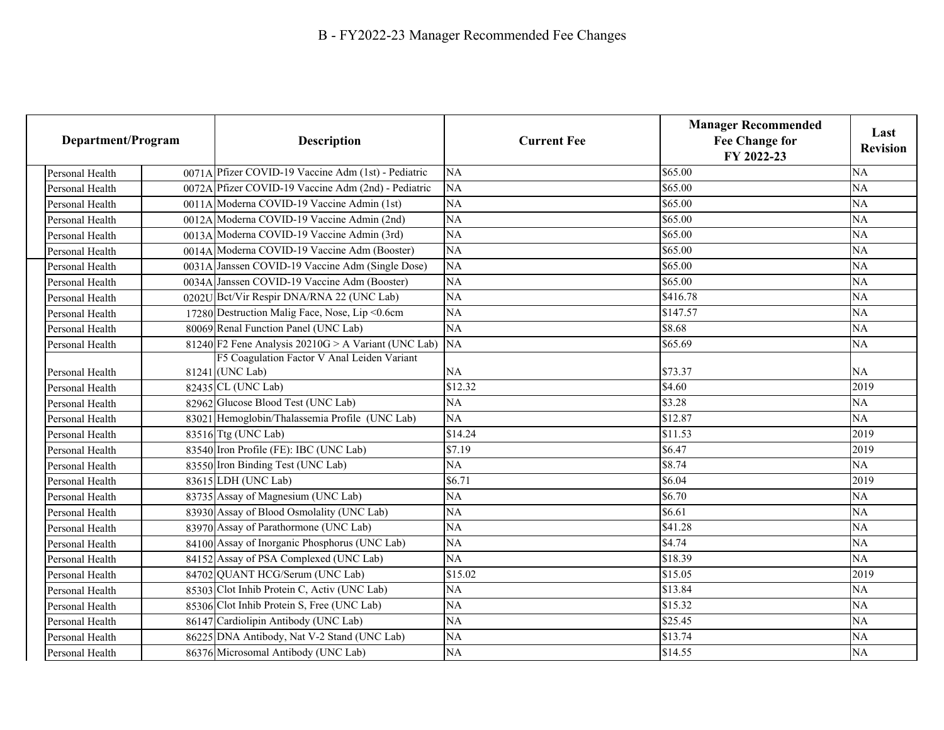| Department/Program |                 | <b>Description</b>                                               | <b>Current Fee</b> | <b>Manager Recommended</b><br><b>Fee Change for</b><br>FY 2022-23 | Last<br><b>Revision</b> |
|--------------------|-----------------|------------------------------------------------------------------|--------------------|-------------------------------------------------------------------|-------------------------|
|                    | Personal Health | 0071A Pfizer COVID-19 Vaccine Adm (1st) - Pediatric              | NA                 | \$65.00                                                           | <b>NA</b>               |
|                    | Personal Health | 0072A Pfizer COVID-19 Vaccine Adm (2nd) - Pediatric              | NA                 | \$65.00                                                           | NA                      |
|                    | Personal Health | 0011A Moderna COVID-19 Vaccine Admin (1st)                       | NA                 | \$65.00                                                           | NA                      |
|                    | Personal Health | 0012A Moderna COVID-19 Vaccine Admin (2nd)                       | NA                 | \$65.00                                                           | NA                      |
|                    | Personal Health | 0013A Moderna COVID-19 Vaccine Admin (3rd)                       | NA                 | \$65.00                                                           | NA                      |
|                    | Personal Health | 0014A Moderna COVID-19 Vaccine Adm (Booster)                     | NA                 | \$65.00                                                           | NA                      |
|                    | Personal Health | 0031A Janssen COVID-19 Vaccine Adm (Single Dose)                 | NA                 | \$65.00                                                           | NA                      |
|                    | Personal Health | 0034A Janssen COVID-19 Vaccine Adm (Booster)                     | NA                 | \$65.00                                                           | NA                      |
|                    | Personal Health | 0202U Bct/Vir Respir DNA/RNA 22 (UNC Lab)                        | NA                 | \$416.78                                                          | NA                      |
|                    | Personal Health | 17280 Destruction Malig Face, Nose, Lip <0.6cm                   | NA                 | \$147.57                                                          | NA                      |
|                    | Personal Health | 80069 Renal Function Panel (UNC Lab)                             | NA                 | \$8.68                                                            | NA                      |
|                    | Personal Health | 81240 F2 Fene Analysis $20210G > A$ Variant (UNC Lab)            | <b>NA</b>          | \$65.69                                                           | NA                      |
|                    | Personal Health | F5 Coagulation Factor V Anal Leiden Variant<br>$81241$ (UNC Lab) | NA                 | \$73.37                                                           | NA                      |
|                    | Personal Health | 82435 CL (UNC Lab)                                               | \$12.32            | \$4.60                                                            | 2019                    |
|                    | Personal Health | 82962 Glucose Blood Test (UNC Lab)                               | <b>NA</b>          | \$3.28                                                            | <b>NA</b>               |
|                    | Personal Health | 83021 Hemoglobin/Thalassemia Profile (UNC Lab)                   | NA                 | \$12.87                                                           | NA                      |
|                    | Personal Health | $83516$ Ttg (UNC Lab)                                            | \$14.24            | \$11.53                                                           | 2019                    |
|                    | Personal Health | 83540 Iron Profile (FE): IBC (UNC Lab)                           | \$7.19             | \$6.47                                                            | 2019                    |
|                    | Personal Health | 83550 Iron Binding Test (UNC Lab)                                | NA                 | \$8.74                                                            | NA                      |
|                    | Personal Health | 83615 LDH (UNC Lab)                                              | \$6.71             | \$6.04                                                            | 2019                    |
|                    | Personal Health | 83735 Assay of Magnesium (UNC Lab)                               | NA                 | \$6.70                                                            | NA                      |
|                    | Personal Health | 83930 Assay of Blood Osmolality (UNC Lab)                        | <b>NA</b>          | \$6.61                                                            | <b>NA</b>               |
|                    | Personal Health | 83970 Assay of Parathormone (UNC Lab)                            | NA                 | \$41.28                                                           | <b>NA</b>               |
|                    | Personal Health | 84100 Assay of Inorganic Phosphorus (UNC Lab)                    | NA                 | \$4.74                                                            | <b>NA</b>               |
|                    | Personal Health | 84152 Assay of PSA Complexed (UNC Lab)                           | NA                 | \$18.39                                                           | NA                      |
|                    | Personal Health | 84702 QUANT HCG/Serum (UNC Lab)                                  | \$15.02            | \$15.05                                                           | 2019                    |
|                    | Personal Health | 85303 Clot Inhib Protein C, Activ (UNC Lab)                      | NA                 | \$13.84                                                           | NA                      |
|                    | Personal Health | 85306 Clot Inhib Protein S, Free (UNC Lab)                       | NA                 | \$15.32                                                           | NA                      |
|                    | Personal Health | 86147 Cardiolipin Antibody (UNC Lab)                             | $\overline{NA}$    | \$25.45                                                           | NA                      |
|                    | Personal Health | 86225 DNA Antibody, Nat V-2 Stand (UNC Lab)                      | NA                 | \$13.74                                                           | NA                      |
|                    | Personal Health | 86376 Microsomal Antibody (UNC Lab)                              | NA                 | \$14.55                                                           | NA                      |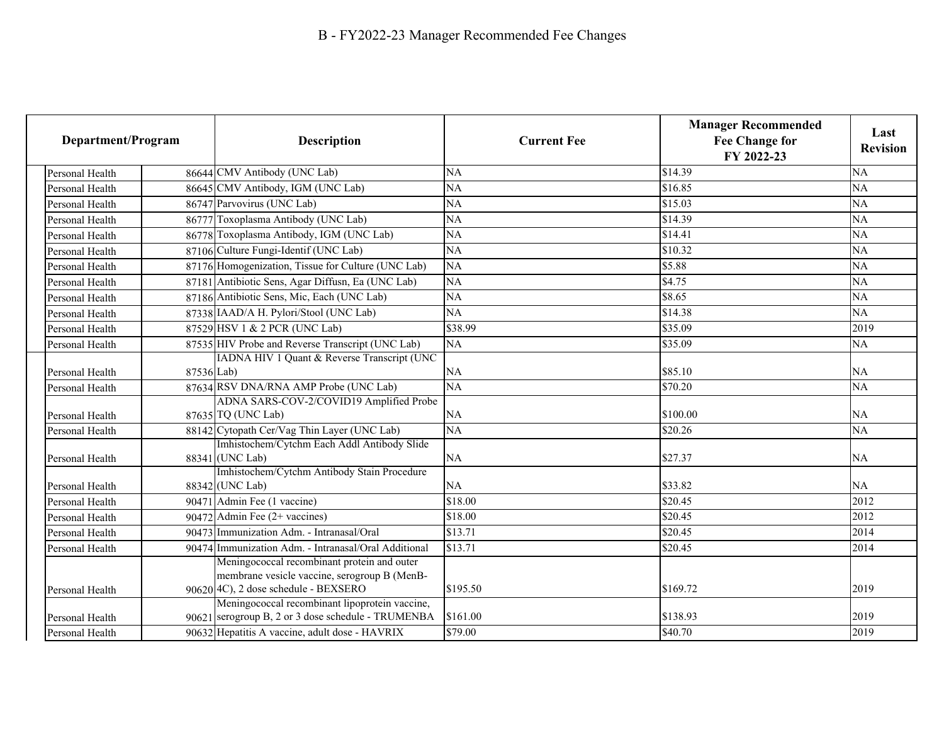| Department/Program |            | <b>Description</b>                                                                                                                  | <b>Current Fee</b> | <b>Manager Recommended</b><br><b>Fee Change for</b><br>FY 2022-23 | Last<br><b>Revision</b> |
|--------------------|------------|-------------------------------------------------------------------------------------------------------------------------------------|--------------------|-------------------------------------------------------------------|-------------------------|
| Personal Health    |            | 86644 CMV Antibody (UNC Lab)                                                                                                        | <b>NA</b>          | \$14.39                                                           | <b>NA</b>               |
| Personal Health    |            | 86645 CMV Antibody, IGM (UNC Lab)                                                                                                   | NA                 | \$16.85                                                           | NA                      |
| Personal Health    |            | 86747 Parvovirus (UNC Lab)                                                                                                          | <b>NA</b>          | \$15.03                                                           | NA                      |
| Personal Health    |            | 86777 Toxoplasma Antibody (UNC Lab)                                                                                                 | <b>NA</b>          | \$14.39                                                           | NA                      |
| Personal Health    |            | 86778 Toxoplasma Antibody, IGM (UNC Lab)                                                                                            | NA                 | \$14.41                                                           | NA                      |
| Personal Health    |            | 87106 Culture Fungi-Identif (UNC Lab)                                                                                               | NA                 | \$10.32                                                           | NA                      |
| Personal Health    |            | 87176 Homogenization, Tissue for Culture (UNC Lab)                                                                                  | NA                 | \$5.88                                                            | $\overline{NA}$         |
| Personal Health    |            | 87181 Antibiotic Sens, Agar Diffusn, Ea (UNC Lab)                                                                                   | NA                 | \$4.75                                                            | NA                      |
| Personal Health    |            | 87186 Antibiotic Sens, Mic, Each (UNC Lab)                                                                                          | <b>NA</b>          | \$8.65                                                            | NA                      |
| Personal Health    |            | 87338 IAAD/A H. Pylori/Stool (UNC Lab)                                                                                              | $\overline{NA}$    | \$14.38                                                           | NA                      |
| Personal Health    |            | 87529 HSV 1 & 2 PCR (UNC Lab)                                                                                                       | \$38.99            | \$35.09                                                           | 2019                    |
| Personal Health    |            | 87535 HIV Probe and Reverse Transcript (UNC Lab)                                                                                    | NA                 | \$35.09                                                           | NA                      |
| Personal Health    | 87536 Lab) | IADNA HIV 1 Quant & Reverse Transcript (UNC                                                                                         | <b>NA</b>          | \$85.10                                                           | <b>NA</b>               |
| Personal Health    |            | 87634 RSV DNA/RNA AMP Probe (UNC Lab)                                                                                               | NA                 | \$70.20                                                           | NA                      |
| Personal Health    |            | ADNA SARS-COV-2/COVID19 Amplified Probe<br>87635 TQ (UNC Lab)                                                                       | <b>NA</b>          | \$100.00                                                          | <b>NA</b>               |
| Personal Health    |            | 88142 Cytopath Cer/Vag Thin Layer (UNC Lab)                                                                                         | $\overline{NA}$    | \$20.26                                                           | <b>NA</b>               |
| Personal Health    |            | Imhistochem/Cytchm Each Addl Antibody Slide<br>88341 (UNC Lab)                                                                      | <b>NA</b>          | \$27.37                                                           | NA                      |
| Personal Health    |            | Imhistochem/Cytchm Antibody Stain Procedure<br>88342 (UNC Lab)                                                                      | NA                 | \$33.82                                                           | NA                      |
| Personal Health    |            | 90471 Admin Fee (1 vaccine)                                                                                                         | \$18.00            | \$20.45                                                           | 2012                    |
| Personal Health    |            | 90472 Admin Fee $(2+$ vaccines)                                                                                                     | \$18.00            | \$20.45                                                           | 2012                    |
| Personal Health    |            | 90473 Immunization Adm. - Intranasal/Oral                                                                                           | \$13.71            | \$20.45                                                           | 2014                    |
| Personal Health    |            | 90474 Immunization Adm. - Intranasal/Oral Additional                                                                                | \$13.71            | \$20.45                                                           | 2014                    |
| Personal Health    |            | Meningococcal recombinant protein and outer<br>membrane vesicle vaccine, serogroup B (MenB-<br>90620 4C), 2 dose schedule - BEXSERO | \$195.50           | \$169.72                                                          | 2019                    |
| Personal Health    |            | Meningococcal recombinant lipoprotein vaccine,<br>90621 serogroup B, 2 or 3 dose schedule - TRUMENBA                                | \$161.00           | \$138.93                                                          | 2019                    |
| Personal Health    |            | 90632 Hepatitis A vaccine, adult dose - HAVRIX                                                                                      | \$79.00            | \$40.70                                                           | 2019                    |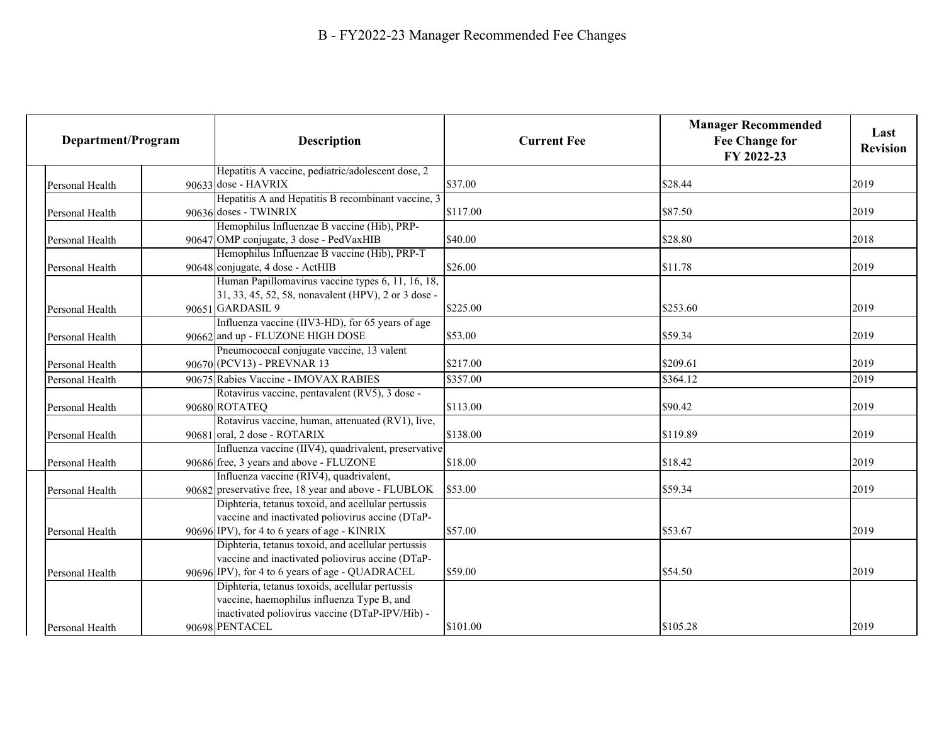| Department/Program | <b>Description</b>                                                          | <b>Current Fee</b> | <b>Manager Recommended</b><br><b>Fee Change for</b><br>FY 2022-23 | Last<br><b>Revision</b> |
|--------------------|-----------------------------------------------------------------------------|--------------------|-------------------------------------------------------------------|-------------------------|
|                    | Hepatitis A vaccine, pediatric/adolescent dose, 2                           |                    |                                                                   |                         |
| Personal Health    | 90633 dose - HAVRIX                                                         | \$37.00            | \$28.44                                                           | 2019                    |
| Personal Health    | Hepatitis A and Hepatitis B recombinant vaccine, 3<br>90636 doses - TWINRIX | \$117.00           | \$87.50                                                           | 2019                    |
|                    | Hemophilus Influenzae B vaccine (Hib), PRP-                                 |                    |                                                                   |                         |
| Personal Health    | 90647 OMP conjugate, 3 dose - PedVaxHIB                                     | \$40.00            | \$28.80                                                           | 2018                    |
|                    | Hemophilus Influenzae B vaccine (Hib), PRP-T                                |                    |                                                                   |                         |
| Personal Health    | 90648 conjugate, 4 dose - ActHIB                                            | \$26.00            | \$11.78                                                           | 2019                    |
|                    | Human Papillomavirus vaccine types 6, 11, 16, 18,                           |                    |                                                                   |                         |
|                    | 31, 33, 45, 52, 58, nonavalent (HPV), 2 or 3 dose -                         |                    |                                                                   |                         |
| Personal Health    | 90651 GARDASIL 9                                                            | \$225.00           | \$253.60                                                          | 2019                    |
|                    | Influenza vaccine (IIV3-HD), for 65 years of age                            |                    |                                                                   |                         |
| Personal Health    | 90662 and up - FLUZONE HIGH DOSE                                            | \$53.00            | \$59.34                                                           | 2019                    |
|                    | Pneumococcal conjugate vaccine, 13 valent                                   |                    |                                                                   |                         |
| Personal Health    | 90670 (PCV13) - PREVNAR 13                                                  | \$217.00           | \$209.61                                                          | 2019                    |
| Personal Health    | 90675 Rabies Vaccine - IMOVAX RABIES                                        | \$357.00           | \$364.12                                                          | 2019                    |
|                    | Rotavirus vaccine, pentavalent (RV5), 3 dose -                              |                    |                                                                   |                         |
| Personal Health    | 90680 ROTATEQ                                                               | \$113.00           | \$90.42                                                           | 2019                    |
|                    | Rotavirus vaccine, human, attenuated (RV1), live,                           |                    |                                                                   |                         |
| Personal Health    | 90681 oral, 2 dose - ROTARIX                                                | \$138.00           | \$119.89                                                          | 2019                    |
|                    | Influenza vaccine (IIV4), quadrivalent, preservative                        |                    |                                                                   |                         |
| Personal Health    | 90686 free, 3 years and above - FLUZONE                                     | \$18.00            | \$18.42                                                           | 2019                    |
|                    | Influenza vaccine (RIV4), quadrivalent,                                     |                    |                                                                   |                         |
| Personal Health    | 90682 preservative free, 18 year and above - FLUBLOK                        | \$53.00            | \$59.34                                                           | 2019                    |
|                    | Diphteria, tetanus toxoid, and acellular pertussis                          |                    |                                                                   |                         |
|                    | vaccine and inactivated poliovirus accine (DTaP-                            |                    |                                                                   |                         |
| Personal Health    | 90696 IPV), for 4 to 6 years of age - KINRIX                                | \$57.00            | \$53.67                                                           | 2019                    |
|                    | Diphteria, tetanus toxoid, and acellular pertussis                          |                    |                                                                   |                         |
|                    | vaccine and inactivated poliovirus accine (DTaP-                            |                    |                                                                   |                         |
| Personal Health    | 90696 IPV), for 4 to 6 years of age - QUADRACEL                             | \$59.00            | \$54.50                                                           | 2019                    |
|                    | Diphteria, tetanus toxoids, acellular pertussis                             |                    |                                                                   |                         |
|                    | vaccine, haemophilus influenza Type B, and                                  |                    |                                                                   |                         |
|                    | inactivated poliovirus vaccine (DTaP-IPV/Hib) -                             |                    |                                                                   |                         |
| Personal Health    | 90698 PENTACEL                                                              | \$101.00           | \$105.28                                                          | 2019                    |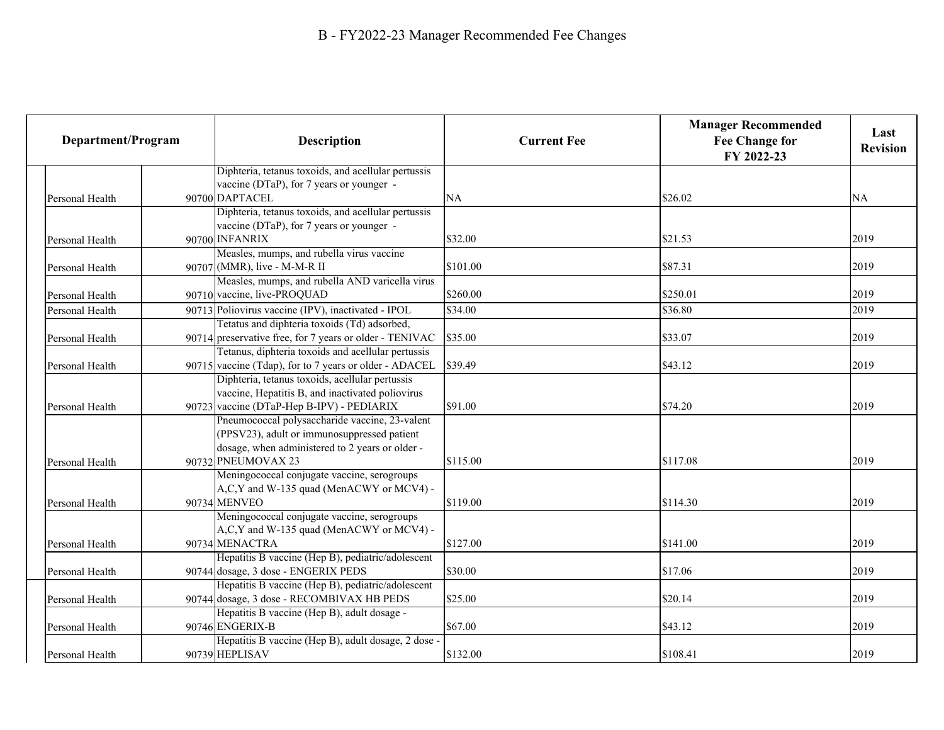| Department/Program |                 | <b>Description</b>                                                                                      | <b>Current Fee</b> | <b>Manager Recommended</b><br><b>Fee Change for</b><br>FY 2022-23 | Last<br><b>Revision</b> |
|--------------------|-----------------|---------------------------------------------------------------------------------------------------------|--------------------|-------------------------------------------------------------------|-------------------------|
|                    |                 | Diphteria, tetanus toxoids, and acellular pertussis                                                     |                    |                                                                   |                         |
|                    |                 | vaccine (DTaP), for 7 years or younger -                                                                |                    |                                                                   |                         |
|                    | Personal Health | 90700 DAPTACEL                                                                                          | <b>NA</b>          | \$26.02                                                           | <b>NA</b>               |
|                    |                 | Diphteria, tetanus toxoids, and acellular pertussis                                                     |                    |                                                                   |                         |
|                    |                 | vaccine (DTaP), for 7 years or younger -                                                                |                    |                                                                   |                         |
|                    | Personal Health | 90700 INFANRIX                                                                                          | \$32.00            | \$21.53                                                           | 2019                    |
|                    |                 | Measles, mumps, and rubella virus vaccine                                                               | \$101.00           | \$87.31                                                           | 2019                    |
|                    | Personal Health | 90707 (MMR), live - M-M-R II<br>Measles, mumps, and rubella AND varicella virus                         |                    |                                                                   |                         |
|                    |                 | 90710 vaccine, live-PROQUAD                                                                             | \$260.00           | \$250.01                                                          | 2019                    |
|                    | Personal Health |                                                                                                         |                    |                                                                   |                         |
|                    | Personal Health | 90713 Poliovirus vaccine (IPV), inactivated - IPOL                                                      | \$34.00            | \$36.80                                                           | 2019                    |
|                    |                 | Tetatus and diphteria toxoids (Td) adsorbed,<br>90714 preservative free, for 7 years or older - TENIVAC | \$35.00            | \$33.07                                                           | 2019                    |
|                    | Personal Health | Tetanus, diphteria toxoids and acellular pertussis                                                      |                    |                                                                   |                         |
|                    | Personal Health | $90715$ vaccine (Tdap), for to 7 years or older - ADACEL                                                | \$39.49            | \$43.12                                                           | 2019                    |
|                    |                 | Diphteria, tetanus toxoids, acellular pertussis                                                         |                    |                                                                   |                         |
|                    |                 | vaccine, Hepatitis B, and inactivated poliovirus                                                        |                    |                                                                   |                         |
|                    | Personal Health | 90723 vaccine (DTaP-Hep B-IPV) - PEDIARIX                                                               | \$91.00            | \$74.20                                                           | 2019                    |
|                    |                 | Pneumococcal polysaccharide vaccine, 23-valent                                                          |                    |                                                                   |                         |
|                    |                 | (PPSV23), adult or immunosuppressed patient                                                             |                    |                                                                   |                         |
|                    |                 | dosage, when administered to 2 years or older -                                                         |                    |                                                                   |                         |
|                    | Personal Health | 90732 PNEUMOVAX 23                                                                                      | \$115.00           | \$117.08                                                          | 2019                    |
|                    |                 | Meningococcal conjugate vaccine, serogroups                                                             |                    |                                                                   |                         |
|                    |                 | A,C,Y and W-135 quad (MenACWY or MCV4) -                                                                |                    |                                                                   |                         |
|                    | Personal Health | 90734 MENVEO                                                                                            | \$119.00           | \$114.30                                                          | 2019                    |
|                    |                 | Meningococcal conjugate vaccine, serogroups                                                             |                    |                                                                   |                         |
|                    |                 | A,C,Y and W-135 quad (MenACWY or MCV4) -                                                                |                    |                                                                   |                         |
|                    | Personal Health | 90734 MENACTRA                                                                                          | \$127.00           | \$141.00                                                          | 2019                    |
|                    |                 | Hepatitis B vaccine (Hep B), pediatric/adolescent                                                       |                    |                                                                   |                         |
|                    | Personal Health | 90744 dosage, 3 dose - ENGERIX PEDS                                                                     | \$30.00            | \$17.06                                                           | 2019                    |
|                    |                 | Hepatitis B vaccine (Hep B), pediatric/adolescent                                                       |                    |                                                                   |                         |
|                    | Personal Health | 90744 dosage, 3 dose - RECOMBIVAX HB PEDS                                                               | \$25.00            | \$20.14                                                           | 2019                    |
|                    |                 | Hepatitis B vaccine (Hep B), adult dosage -                                                             |                    |                                                                   |                         |
|                    | Personal Health | 90746 ENGERIX-B                                                                                         | \$67.00            | \$43.12                                                           | 2019                    |
|                    |                 | Hepatitis B vaccine (Hep B), adult dosage, 2 dose                                                       |                    |                                                                   |                         |
|                    | Personal Health | 90739 HEPLISAV                                                                                          | \$132.00           | \$108.41                                                          | 2019                    |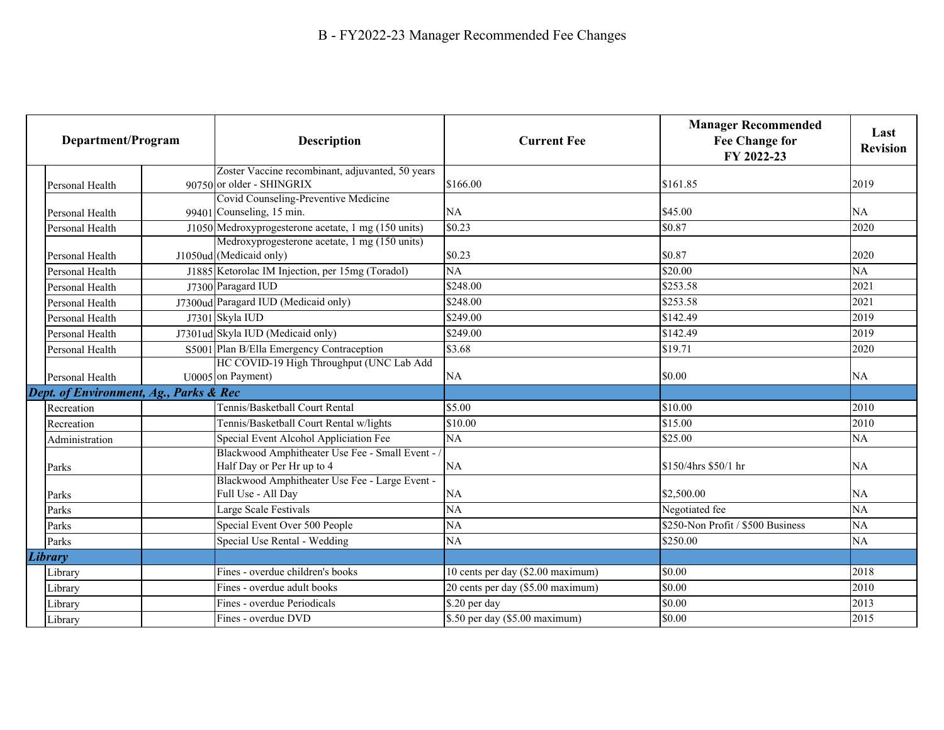| Department/Program                     | <b>Description</b>                                                                                     | <b>Current Fee</b>                | <b>Manager Recommended</b><br><b>Fee Change for</b><br>FY 2022-23 | Last<br><b>Revision</b> |
|----------------------------------------|--------------------------------------------------------------------------------------------------------|-----------------------------------|-------------------------------------------------------------------|-------------------------|
|                                        | Zoster Vaccine recombinant, adjuvanted, 50 years                                                       |                                   |                                                                   |                         |
| Personal Health                        | 90750 or older - SHINGRIX                                                                              | \$166.00                          | \$161.85                                                          | 2019                    |
|                                        | Covid Counseling-Preventive Medicine                                                                   |                                   |                                                                   |                         |
| Personal Health                        | 99401 Counseling, 15 min.                                                                              | NA<br>\$0.23                      | \$45.00<br>\$0.87                                                 | NA                      |
| Personal Health                        | $J1050$ Medroxyprogesterone acetate, 1 mg (150 units)<br>Medroxyprogesterone acetate, 1 mg (150 units) |                                   |                                                                   | 2020                    |
| Personal Health                        | J1050ud (Medicaid only)                                                                                | \$0.23                            | \$0.87                                                            | 2020                    |
| Personal Health                        | J1885 Ketorolac IM Injection, per 15mg (Toradol)                                                       | NA                                | \$20.00                                                           | NA                      |
| Personal Health                        | J7300 Paragard IUD                                                                                     | \$248.00                          | \$253.58                                                          | 2021                    |
| Personal Health                        | J7300ud Paragard IUD (Medicaid only)                                                                   | \$248.00                          | \$253.58                                                          | 2021                    |
|                                        | J7301 Skyla IUD                                                                                        | \$249.00                          | \$142.49                                                          | 2019                    |
| Personal Health                        |                                                                                                        |                                   | \$142.49                                                          |                         |
| Personal Health                        | J7301ud Skyla IUD (Medicaid only)                                                                      | \$249.00                          |                                                                   | 2019                    |
| Personal Health                        | S5001 Plan B/Ella Emergency Contraception<br>HC COVID-19 High Throughput (UNC Lab Add                  | \$3.68                            | \$19.71                                                           | 2020                    |
| Personal Health                        | U0005 on Payment)                                                                                      | NA                                | \$0.00                                                            | NA                      |
| Dept. of Environment, Ag., Parks & Rec |                                                                                                        |                                   |                                                                   |                         |
| Recreation                             | Tennis/Basketball Court Rental                                                                         | \$5.00                            | \$10.00                                                           | 2010                    |
|                                        | Tennis/Basketball Court Rental w/lights                                                                | \$10.00                           | \$15.00                                                           | 2010                    |
| Recreation                             |                                                                                                        |                                   |                                                                   |                         |
| Administration                         | Special Event Alcohol Appliciation Fee<br>Blackwood Amphitheater Use Fee - Small Event - /             | NA                                | \$25.00                                                           | NA                      |
| Parks                                  | Half Day or Per Hr up to 4                                                                             | NA                                | \$150/4hrs \$50/1 hr                                              | NA                      |
|                                        | Blackwood Amphitheater Use Fee - Large Event -                                                         |                                   |                                                                   |                         |
| Parks                                  | Full Use - All Day                                                                                     | NA                                | \$2,500.00                                                        | NA                      |
| Parks                                  | Large Scale Festivals                                                                                  | NA                                | Negotiated fee                                                    | NA                      |
| Parks                                  | Special Event Over 500 People                                                                          | <b>NA</b>                         | \$250-Non Profit / \$500 Business                                 | <b>NA</b>               |
| Parks                                  | Special Use Rental - Wedding                                                                           | NA                                | \$250.00                                                          | NA                      |
| Library                                |                                                                                                        |                                   |                                                                   |                         |
| Library                                | Fines - overdue children's books                                                                       | 10 cents per day (\$2.00 maximum) | \$0.00                                                            | 2018                    |
| Library                                | Fines - overdue adult books                                                                            | 20 cents per day (\$5.00 maximum) | \$0.00                                                            | 2010                    |
| Library                                | Fines - overdue Periodicals                                                                            | \$.20 per day                     | \$0.00                                                            | 2013                    |
| Library                                | Fines - overdue DVD                                                                                    | \$.50 per day (\$5.00 maximum)    | \$0.00                                                            | 2015                    |